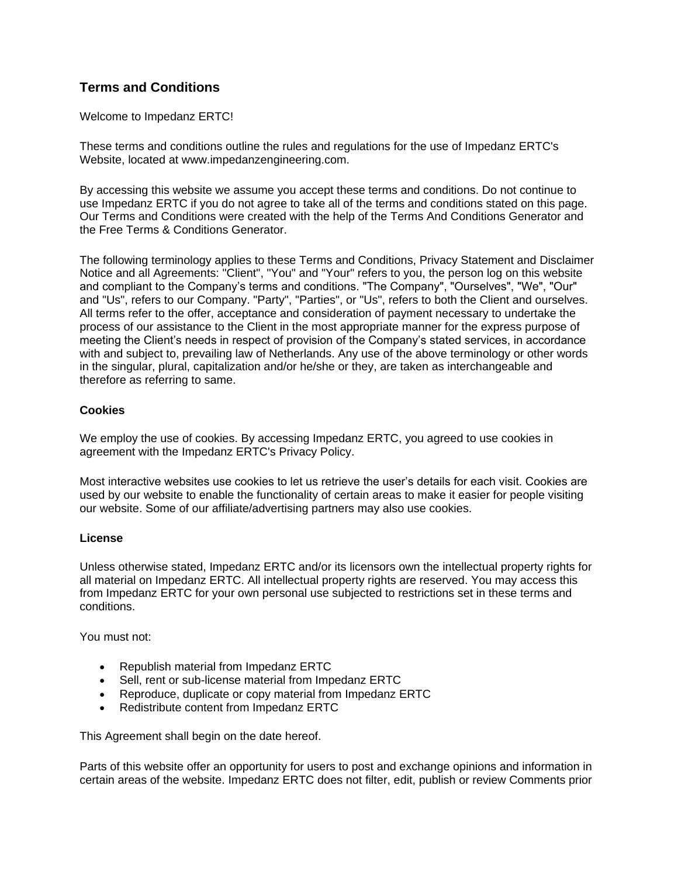# **Terms and Conditions**

Welcome to Impedanz ERTC!

These terms and conditions outline the rules and regulations for the use of Impedanz ERTC's Website, located at www.impedanzengineering.com.

By accessing this website we assume you accept these terms and conditions. Do not continue to use Impedanz ERTC if you do not agree to take all of the terms and conditions stated on this page. Our Terms and Conditions were created with the help of the [Terms And Conditions Generator](https://www.termsandconditionsgenerator.com/) and the [Free Terms & Conditions Generator.](https://www.privacypolicyonline.com/terms-conditions-generator/)

The following terminology applies to these Terms and Conditions, Privacy Statement and Disclaimer Notice and all Agreements: "Client", "You" and "Your" refers to you, the person log on this website and compliant to the Company's terms and conditions. "The Company", "Ourselves", "We", "Our" and "Us", refers to our Company. "Party", "Parties", or "Us", refers to both the Client and ourselves. All terms refer to the offer, acceptance and consideration of payment necessary to undertake the process of our assistance to the Client in the most appropriate manner for the express purpose of meeting the Client's needs in respect of provision of the Company's stated services, in accordance with and subject to, prevailing law of Netherlands. Any use of the above terminology or other words in the singular, plural, capitalization and/or he/she or they, are taken as interchangeable and therefore as referring to same.

## **Cookies**

We employ the use of cookies. By accessing Impedanz ERTC, you agreed to use cookies in agreement with the Impedanz ERTC's Privacy Policy.

Most interactive websites use cookies to let us retrieve the user's details for each visit. Cookies are used by our website to enable the functionality of certain areas to make it easier for people visiting our website. Some of our affiliate/advertising partners may also use cookies.

## **License**

Unless otherwise stated, Impedanz ERTC and/or its licensors own the intellectual property rights for all material on Impedanz ERTC. All intellectual property rights are reserved. You may access this from Impedanz ERTC for your own personal use subjected to restrictions set in these terms and conditions.

You must not:

- Republish material from Impedanz ERTC
- Sell, rent or sub-license material from Impedanz ERTC
- Reproduce, duplicate or copy material from Impedanz ERTC
- Redistribute content from Impedanz ERTC

This Agreement shall begin on the date hereof.

Parts of this website offer an opportunity for users to post and exchange opinions and information in certain areas of the website. Impedanz ERTC does not filter, edit, publish or review Comments prior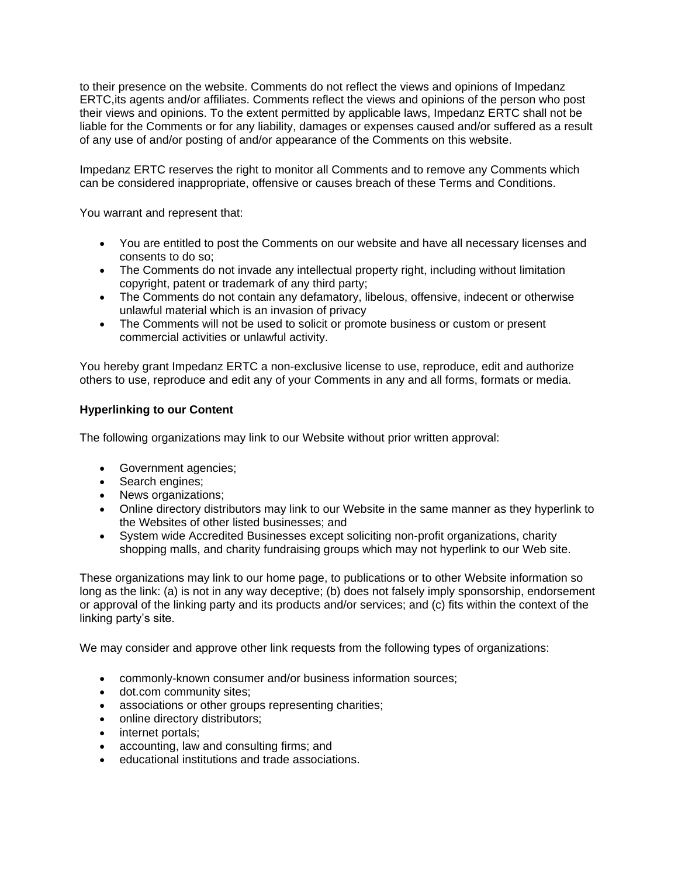to their presence on the website. Comments do not reflect the views and opinions of Impedanz ERTC,its agents and/or affiliates. Comments reflect the views and opinions of the person who post their views and opinions. To the extent permitted by applicable laws, Impedanz ERTC shall not be liable for the Comments or for any liability, damages or expenses caused and/or suffered as a result of any use of and/or posting of and/or appearance of the Comments on this website.

Impedanz ERTC reserves the right to monitor all Comments and to remove any Comments which can be considered inappropriate, offensive or causes breach of these Terms and Conditions.

You warrant and represent that:

- You are entitled to post the Comments on our website and have all necessary licenses and consents to do so;
- The Comments do not invade any intellectual property right, including without limitation copyright, patent or trademark of any third party;
- The Comments do not contain any defamatory, libelous, offensive, indecent or otherwise unlawful material which is an invasion of privacy
- The Comments will not be used to solicit or promote business or custom or present commercial activities or unlawful activity.

You hereby grant Impedanz ERTC a non-exclusive license to use, reproduce, edit and authorize others to use, reproduce and edit any of your Comments in any and all forms, formats or media.

## **Hyperlinking to our Content**

The following organizations may link to our Website without prior written approval:

- Government agencies;
- Search engines;
- News organizations;
- Online directory distributors may link to our Website in the same manner as they hyperlink to the Websites of other listed businesses; and
- System wide Accredited Businesses except soliciting non-profit organizations, charity shopping malls, and charity fundraising groups which may not hyperlink to our Web site.

These organizations may link to our home page, to publications or to other Website information so long as the link: (a) is not in any way deceptive; (b) does not falsely imply sponsorship, endorsement or approval of the linking party and its products and/or services; and (c) fits within the context of the linking party's site.

We may consider and approve other link requests from the following types of organizations:

- commonly-known consumer and/or business information sources;
- dot.com community sites;
- associations or other groups representing charities;
- online directory distributors;
- internet portals:
- accounting, law and consulting firms; and
- educational institutions and trade associations.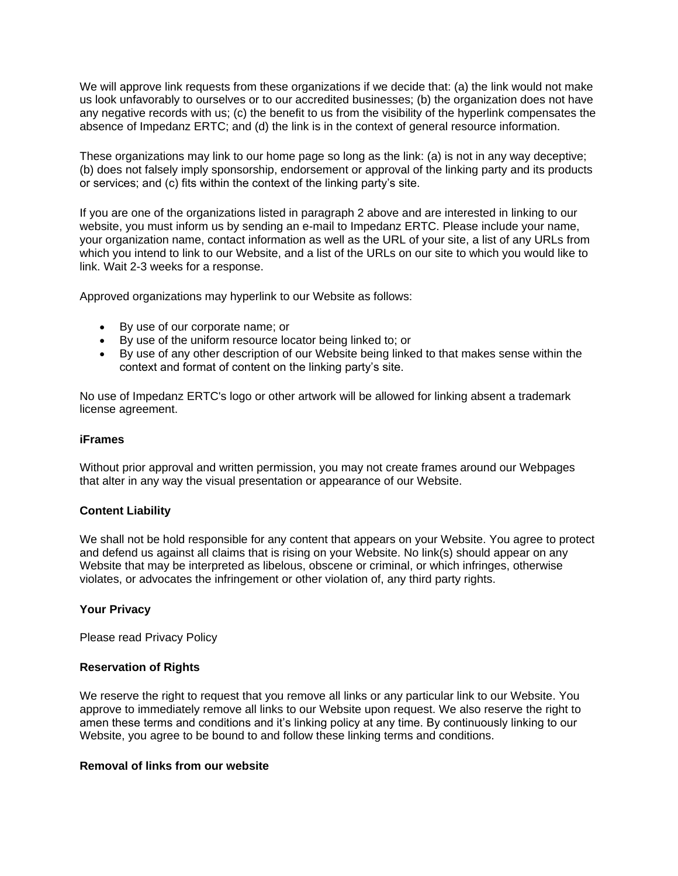We will approve link requests from these organizations if we decide that: (a) the link would not make us look unfavorably to ourselves or to our accredited businesses; (b) the organization does not have any negative records with us; (c) the benefit to us from the visibility of the hyperlink compensates the absence of Impedanz ERTC; and (d) the link is in the context of general resource information.

These organizations may link to our home page so long as the link: (a) is not in any way deceptive; (b) does not falsely imply sponsorship, endorsement or approval of the linking party and its products or services; and (c) fits within the context of the linking party's site.

If you are one of the organizations listed in paragraph 2 above and are interested in linking to our website, you must inform us by sending an e-mail to Impedanz ERTC. Please include your name, your organization name, contact information as well as the URL of your site, a list of any URLs from which you intend to link to our Website, and a list of the URLs on our site to which you would like to link. Wait 2-3 weeks for a response.

Approved organizations may hyperlink to our Website as follows:

- By use of our corporate name; or
- By use of the uniform resource locator being linked to; or
- By use of any other description of our Website being linked to that makes sense within the context and format of content on the linking party's site.

No use of Impedanz ERTC's logo or other artwork will be allowed for linking absent a trademark license agreement.

#### **iFrames**

Without prior approval and written permission, you may not create frames around our Webpages that alter in any way the visual presentation or appearance of our Website.

## **Content Liability**

We shall not be hold responsible for any content that appears on your Website. You agree to protect and defend us against all claims that is rising on your Website. No link(s) should appear on any Website that may be interpreted as libelous, obscene or criminal, or which infringes, otherwise violates, or advocates the infringement or other violation of, any third party rights.

## **Your Privacy**

Please read Privacy Policy

#### **Reservation of Rights**

We reserve the right to request that you remove all links or any particular link to our Website. You approve to immediately remove all links to our Website upon request. We also reserve the right to amen these terms and conditions and it's linking policy at any time. By continuously linking to our Website, you agree to be bound to and follow these linking terms and conditions.

#### **Removal of links from our website**